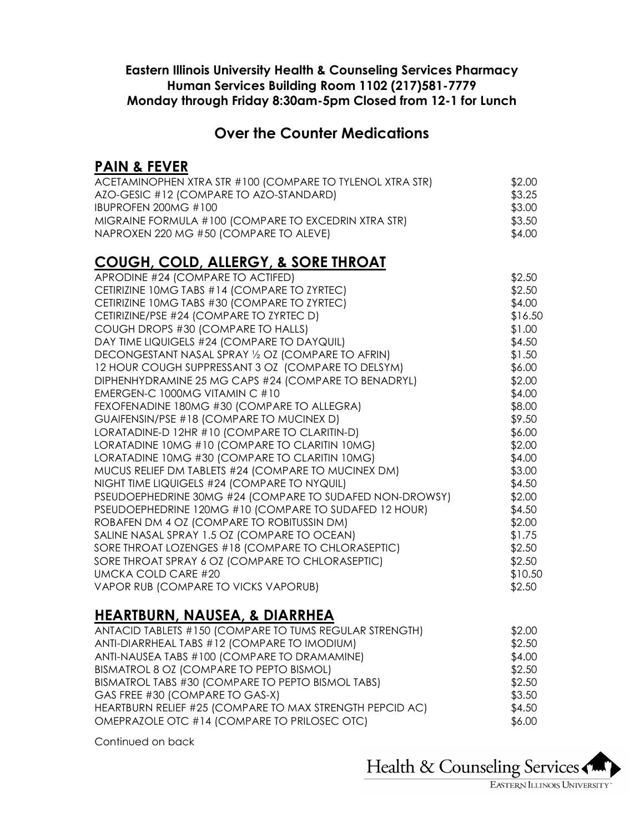#### **Eastern Illinois University Health & Counseling Services Pharmacy Human Services Building Room 1102 (217)581-7779 Monday through Friday 8:30am-5pm Closed from 12-1 for Lunch**

### **Over the Counter Medications**

### **PAIN & FEVER**

| ACETAMINOPHEN XTRA STR #100 (COMPARE TO TYLENOL XTRA STR) | \$2.00 |
|-----------------------------------------------------------|--------|
| AZO-GESIC #12 (COMPARE TO AZO-STANDARD)                   | \$3.25 |
| IBUPROFEN 200 $MG#100$                                    | \$3.00 |
| MIGRAINE FORMULA #100 (COMPARE TO EXCEDRIN XTRA STR)      | \$3.50 |
| NAPROXEN 220 MG #50 (COMPARE TO ALEVE)                    | \$4.00 |

# **COUGH, COLD, ALLERGY, & SORE THROAT**

| APRODINE #24 (COMPARE TO ACTIFED)                        | \$2.50  |
|----------------------------------------------------------|---------|
| CETIRIZINE 10MG TABS #14 (COMPARE TO ZYRTEC)             | \$2.50  |
| CETIRIZINE 10MG TABS #30 (COMPARE TO ZYRTEC)             | \$4.00  |
| CETIRIZINE/PSE #24 (COMPARE TO ZYRTEC D)                 | \$16.50 |
| COUGH DROPS #30 (COMPARE TO HALLS)                       | \$1.00  |
| DAY TIME LIQUIGELS #24 (COMPARE TO DAYQUIL)              | \$4.50  |
| DECONGESTANT NASAL SPRAY 1/2 OZ (COMPARE TO AFRIN)       | \$1.50  |
| 12 HOUR COUGH SUPPRESSANT 3 OZ (COMPARE TO DELSYM)       | \$6.00  |
| DIPHENHYDRAMINE 25 MG CAPS #24 (COMPARE TO BENADRYL)     | \$2.00  |
| EMERGEN-C 1000MG VITAMIN C #10                           | \$4.00  |
| FEXOFENADINE 180MG #30 (COMPARE TO ALLEGRA)              | \$8.00  |
| GUAIFENSIN/PSE #18 (COMPARE TO MUCINEX D)                | \$9.50  |
| LORATADINE-D 12HR #10 (COMPARE TO CLARITIN-D)            | \$6.00  |
| LORATADINE 10MG #10 (COMPARE TO CLARITIN 10MG)           | \$2.00  |
| LORATADINE 10MG #30 (COMPARE TO CLARITIN 10MG)           | \$4.00  |
| MUCUS RELIEF DM TABLETS #24 (COMPARE TO MUCINEX DM)      | \$3.00  |
| NIGHT TIME LIQUIGELS #24 (COMPARE TO NYQUIL)             | \$4.50  |
| PSEUDOEPHEDRINE 30MG #24 (COMPARE TO SUDAFED NON-DROWSY) | \$2.00  |
| PSEUDOEPHEDRINE 120MG #10 (COMPARE TO SUDAFED 12 HOUR)   | \$4.50  |
| ROBAFEN DM 4 OZ (COMPARE TO ROBITUSSIN DM)               | \$2.00  |
| SALINE NASAL SPRAY 1.5 OZ (COMPARE TO OCEAN)             | \$1.75  |
| SORE THROAT LOZENGES #18 (COMPARE TO CHLORASEPTIC)       | \$2.50  |
| SORE THROAT SPRAY 6 OZ (COMPARE TO CHLORASEPTIC)         | \$2.50  |
| <b>UMCKA COLD CARE #20</b>                               | \$10.50 |
| VAPOR RUB (COMPARE TO VICKS VAPORUB)                     | \$2.50  |
|                                                          |         |

### **HEARTBURN, NAUSEA, & DIARRHEA**

| \$2.00 |
|--------|
| \$2.50 |
| \$4.00 |
| \$2.50 |
| \$2.50 |
| \$3.50 |
| \$4.50 |
| \$6.00 |
|        |

Continued on back

Health & Counseling Services

EASTERN ILLINOIS UNIVERSITY